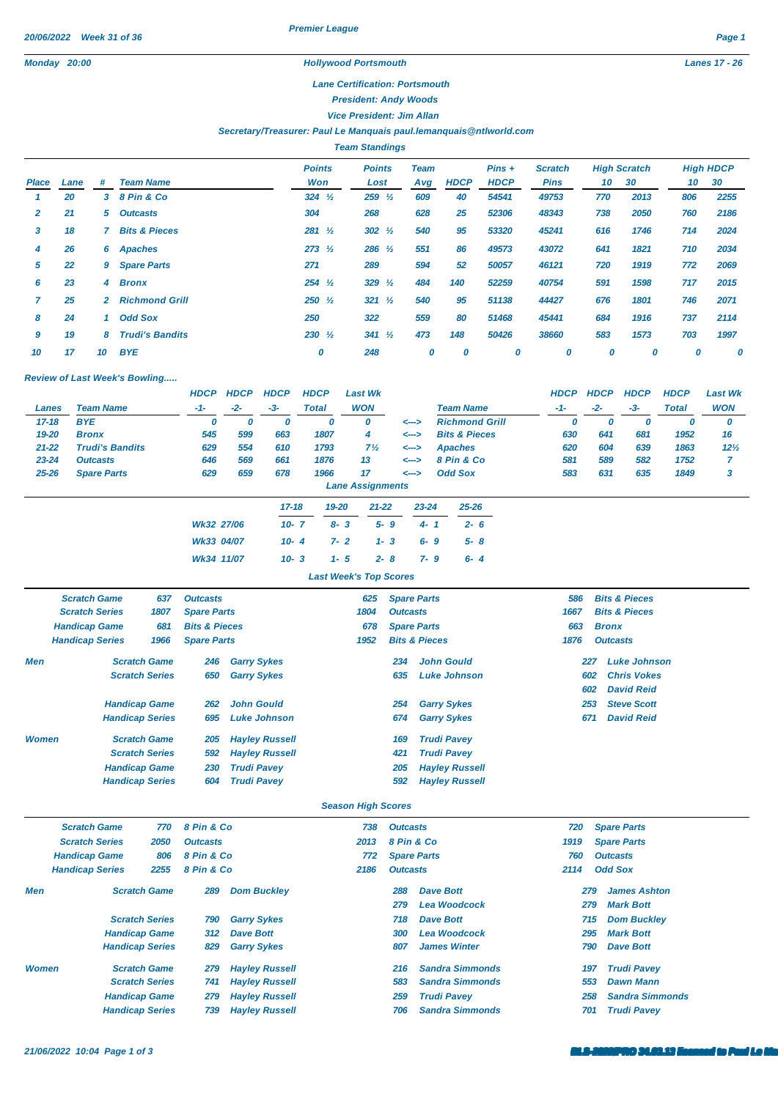## *Lane Certification: Portsmouth*

*President: Andy Woods*

*Vice President: Jim Allan*

## *Secretary/Treasurer: Paul Le Manquais [paul.lemanquais@ntlworld.com](mailto:paul.lemanquais@ntlworld.com)*

|       | <b>Team Standings</b> |    |                          |                      |                       |                    |             |                         |                               |     |                           |     |                        |  |
|-------|-----------------------|----|--------------------------|----------------------|-----------------------|--------------------|-------------|-------------------------|-------------------------------|-----|---------------------------|-----|------------------------|--|
| Place | Lane                  | #  | <b>Team Name</b>         | <b>Points</b><br>Won | <b>Points</b><br>Lost | <b>Team</b><br>Avg | <b>HDCP</b> | $Pins +$<br><b>HDCP</b> | <b>Scratch</b><br><b>Pins</b> | 10  | <b>High Scratch</b><br>30 | 10  | <b>High HDCP</b><br>30 |  |
|       | 20                    |    | 3 8 Pin & Co             | $324 \frac{1}{2}$    | $259\frac{1}{2}$      | 609                | 40          | 54541                   | 49753                         | 770 | 2013                      | 806 | 2255                   |  |
| 2     | 21                    |    | 5 Outcasts               | 304                  | 268                   | 628                | 25          | 52306                   | 48343                         | 738 | 2050                      | 760 | 2186                   |  |
| 3     | 18                    |    | <b>Bits &amp; Pieces</b> | $281 \frac{1}{2}$    | $302 \frac{1}{2}$     | 540                | 95          | 53320                   | 45241                         | 616 | 1746                      | 714 | 2024                   |  |
| 4     | 26                    | 6  | Apaches                  | $273 \frac{1}{2}$    | $286 \frac{1}{2}$     | 551                | 86          | 49573                   | 43072                         | 641 | 1821                      | 710 | 2034                   |  |
| 5     | 22                    | 9  | <b>Spare Parts</b>       | 271                  | 289                   | 594                | 52          | 50057                   | 46121                         | 720 | 1919                      | 772 | 2069                   |  |
| 6     | 23                    | 4  | <b>Bronx</b>             | $254 \frac{1}{2}$    | 329 $\frac{1}{2}$     | 484                | 140         | 52259                   | 40754                         | 591 | 1598                      | 717 | 2015                   |  |
|       | 25                    | 2. | <b>Richmond Grill</b>    | $250 \frac{1}{2}$    | $321 \frac{1}{2}$     | 540                | 95          | 51138                   | 44427                         | 676 | 1801                      | 746 | 2071                   |  |
| 8     | 24                    | 1. | <b>Odd Sox</b>           | 250                  | 322                   | 559                | 80          | 51468                   | 45441                         | 684 | 1916                      | 737 | 2114                   |  |
| 9     | 19                    | 8  | <b>Trudi's Bandits</b>   | $230 \frac{1}{2}$    | $341 \frac{1}{2}$     | 473                | 148         | 50426                   | 38660                         | 583 | 1573                      | 703 | 1997                   |  |
| 10    | 17                    | 10 | <b>BYE</b>               | 0                    | 248                   | 0                  | 0           | 0                       | 0                             | 0   | 0                         | 0   | 0                      |  |

## *Review of Last Week's Bowling.....*

|           |                        | <b>HDCP</b> | <b>HDCP</b> | <b>HDCP</b> | <b>HDCP</b> | Last Wk                 |       |                          | <b>HDCP</b> | <b>HDCP</b> | <b>HDCP</b> | <b>HDCP</b> | <b>Last Wk</b> |
|-----------|------------------------|-------------|-------------|-------------|-------------|-------------------------|-------|--------------------------|-------------|-------------|-------------|-------------|----------------|
| Lanes     | <b>Team Name</b>       | $-1-$       | $-2-$       | $-3-$       | Total       | <b>WON</b>              |       | <b>Team Name</b>         | $-1-$       | $-2-$       | $-3-$       | Total       | <b>WON</b>     |
| $17 - 18$ | <b>BYE</b>             |             | υ           | U           |             |                         | <---> | <b>Richmond Grill</b>    | υ           |             |             | υ           | 0              |
| 19-20     | <b>Bronx</b>           | 545         | 599         | 663         | 1807        | 4                       | <-->  | <b>Bits &amp; Pieces</b> | 630         | 641         | 681         | 1952        | 16             |
| $21 - 22$ | <b>Trudi's Bandits</b> | 629         | 554         | 610         | 1793        | $7\frac{1}{2}$          | <-->  | <b>Apaches</b>           | 620         | 604         | 639         | 1863        | $12\%$         |
| $23 - 24$ | <b>Outcasts</b>        | 646         | 569         | 661         | 1876        | 13                      | <---> | 8 Pin & Co               | 581         | 589         | 582         | 1752        |                |
| $25 - 26$ | <b>Spare Parts</b>     | 629         | 659         | 678         | 1966        | 17                      | <-->  | <b>Odd Sox</b>           | 583         | 631         | 635         | 1849        | 3              |
|           |                        |             |             |             |             | <b>Lane Assignments</b> |       |                          |             |             |             |             |                |
|           |                        |             |             |             |             |                         |       |                          |             |             |             |             |                |

|                                 | $17 - 18$ | 19-20 21-22 23-24 25-26 |                                |
|---------------------------------|-----------|-------------------------|--------------------------------|
| Wk32 27/06                      |           |                         | $10-7$ $8-3$ $5-9$ $4-1$ $2-6$ |
|                                 |           |                         |                                |
| Wk34 11/07 10-3 1-5 2-8 7-9 6-4 |           |                         |                                |

*Last Week's Top Scores*

|              | <b>Scratch Game</b>    | 637                                                            | <b>Outcasts</b>          |                       | 625  | <b>Spare Parts</b> |                       | 586  | <b>Bits &amp; Pieces</b>   |
|--------------|------------------------|----------------------------------------------------------------|--------------------------|-----------------------|------|--------------------|-----------------------|------|----------------------------|
|              | <b>Scratch Series</b>  | 1807                                                           | <b>Spare Parts</b>       |                       | 1804 | <b>Outcasts</b>    |                       | 1667 | <b>Bits &amp; Pieces</b>   |
|              | <b>Handicap Game</b>   | 681                                                            | <b>Bits &amp; Pieces</b> |                       | 678  | <b>Spare Parts</b> |                       | 663  | <b>Bronx</b>               |
|              | <b>Handicap Series</b> | <b>Bits &amp; Pieces</b><br>1966<br><b>Spare Parts</b><br>1952 |                          |                       | 1876 | <b>Outcasts</b>    |                       |      |                            |
| Men          |                        | <b>Scratch Game</b>                                            | 246                      | <b>Garry Sykes</b>    |      | 234                | <b>John Gould</b>     |      | <b>Luke Johnson</b><br>227 |
|              |                        | <b>Scratch Series</b>                                          | 650                      | <b>Garry Sykes</b>    |      | 635                | <b>Luke Johnson</b>   |      | <b>Chris Vokes</b><br>602  |
|              |                        |                                                                |                          |                       |      |                    |                       |      | <b>David Reid</b><br>602   |
|              |                        | <b>Handicap Game</b>                                           | 262                      | <b>John Gould</b>     |      | 254                | <b>Garry Sykes</b>    |      | <b>Steve Scott</b><br>253  |
|              |                        | <b>Handicap Series</b>                                         | 695                      | Luke Johnson          |      | 674                | <b>Garry Sykes</b>    | 671  | <b>David Reid</b>          |
| <b>Women</b> |                        | <b>Scratch Game</b>                                            | 205                      | <b>Hayley Russell</b> |      | 169                | <b>Trudi Pavey</b>    |      |                            |
|              |                        | <b>Scratch Series</b>                                          | 592                      | <b>Hayley Russell</b> |      | 421                | <b>Trudi Pavey</b>    |      |                            |
|              |                        | <b>Handicap Game</b>                                           | 230                      | <b>Trudi Pavev</b>    |      | 205                | <b>Hayley Russell</b> |      |                            |
|              |                        | <b>Handicap Series</b>                                         | 604                      | <b>Trudi Pavey</b>    |      | 592                | <b>Hayley Russell</b> |      |                            |

## *Season High Scores*

|              | <b>Scratch Game</b><br>770 |                        | 8 Pin & Co      |                       | 738                                                                                                                                                                                                                                                                                                                                                                                                                 | <b>Outcasts</b> |                        | 720  | <b>Spare Parts</b>     |
|--------------|----------------------------|------------------------|-----------------|-----------------------|---------------------------------------------------------------------------------------------------------------------------------------------------------------------------------------------------------------------------------------------------------------------------------------------------------------------------------------------------------------------------------------------------------------------|-----------------|------------------------|------|------------------------|
|              | <b>Scratch Series</b>      | 2050                   | <b>Outcasts</b> |                       | 2013                                                                                                                                                                                                                                                                                                                                                                                                                |                 |                        | 1919 |                        |
|              | <b>Handicap Game</b>       | 806                    | 8 Pin & Co      |                       | 772                                                                                                                                                                                                                                                                                                                                                                                                                 |                 |                        | 760  |                        |
|              | <b>Handicap Series</b>     | 2255                   | 8 Pin & Co      |                       | 8 Pin & Co<br><b>Spare Parts</b><br><b>Spare Parts</b><br><b>Outcasts</b><br><b>Odd Sox</b><br><b>Outcasts</b><br>2186<br>2114<br><b>Dave Bott</b><br><b>James Ashton</b><br>288<br>279<br><b>Lea Woodcock</b><br><b>Mark Bott</b><br>279<br>279<br>Dave Bott<br><b>Dom Buckley</b><br>718<br>715<br><b>Lea Woodcock</b><br><b>Mark Bott</b><br>295<br>300<br><b>James Winter</b><br><b>Dave Bott</b><br>807<br>790 |                 |                        |      |                        |
| Men          |                            | <b>Scratch Game</b>    | 289             | <b>Dom Buckley</b>    |                                                                                                                                                                                                                                                                                                                                                                                                                     |                 |                        |      |                        |
|              |                            |                        |                 |                       |                                                                                                                                                                                                                                                                                                                                                                                                                     |                 |                        |      |                        |
|              |                            | <b>Scratch Series</b>  | 790             | <b>Garry Sykes</b>    |                                                                                                                                                                                                                                                                                                                                                                                                                     |                 |                        |      |                        |
|              |                            | <b>Handicap Game</b>   | 312             | <b>Dave Bott</b>      |                                                                                                                                                                                                                                                                                                                                                                                                                     |                 |                        |      |                        |
|              |                            | <b>Handicap Series</b> | 829             | <b>Garry Sykes</b>    |                                                                                                                                                                                                                                                                                                                                                                                                                     |                 |                        |      |                        |
| <b>Women</b> |                            | <b>Scratch Game</b>    | 279             | <b>Hayley Russell</b> |                                                                                                                                                                                                                                                                                                                                                                                                                     | 216             | <b>Sandra Simmonds</b> | 197  | <b>Trudi Pavey</b>     |
|              |                            | <b>Scratch Series</b>  | 741             | <b>Hayley Russell</b> |                                                                                                                                                                                                                                                                                                                                                                                                                     | 583             | <b>Sandra Simmonds</b> | 553  | <b>Dawn Mann</b>       |
|              |                            | <b>Handicap Game</b>   | 279             | <b>Hayley Russell</b> |                                                                                                                                                                                                                                                                                                                                                                                                                     | 259             | <b>Trudi Pavey</b>     | 258  | <b>Sandra Simmonds</b> |
|              |                            | <b>Handicap Series</b> | 739             | <b>Hayley Russell</b> |                                                                                                                                                                                                                                                                                                                                                                                                                     | 706             | <b>Sandra Simmonds</b> | 701  | <b>Trudi Pavev</b>     |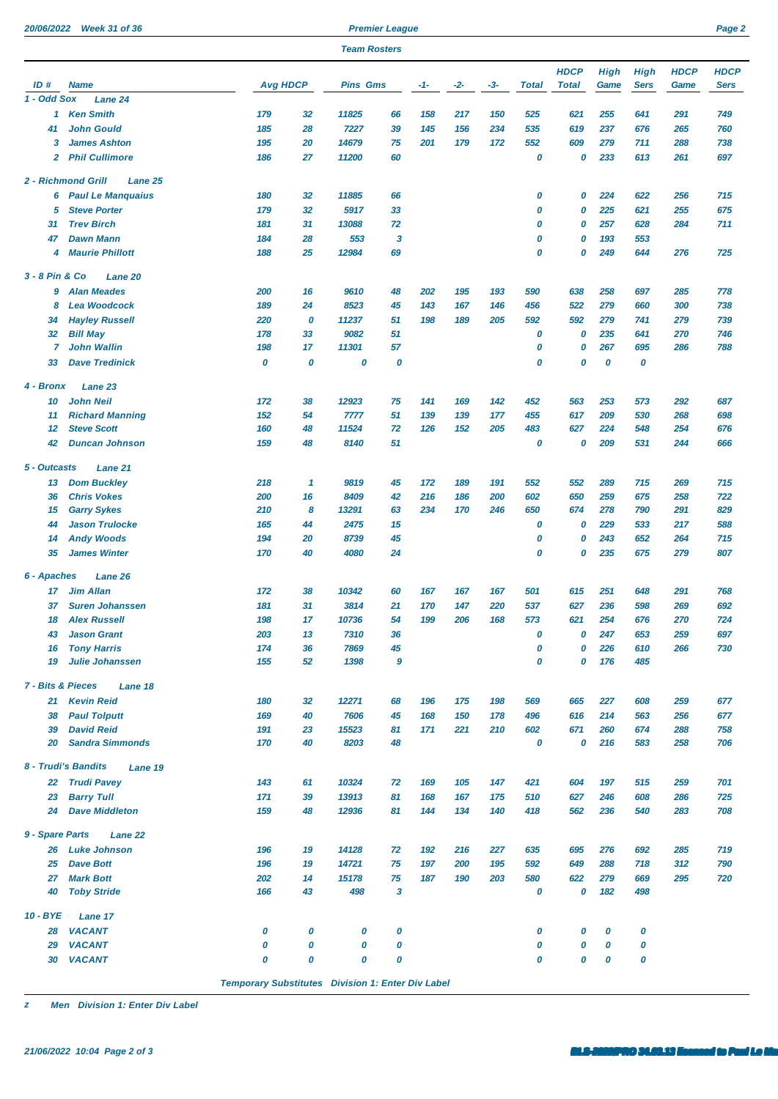| 20/06/2022 Week 31 of 36 |
|--------------------------|
|                          |

**2013 Premier League Premier League** 

|                              |                                           |                 |          | <b>Team Rosters</b> |                  |       |     |     |              |              |            |             |             |             |
|------------------------------|-------------------------------------------|-----------------|----------|---------------------|------------------|-------|-----|-----|--------------|--------------|------------|-------------|-------------|-------------|
|                              |                                           |                 |          |                     |                  |       |     |     |              | <b>HDCP</b>  | High       | <b>High</b> | <b>HDCP</b> | <b>HDCP</b> |
| ID#<br>1 - Odd Sox           | <b>Name</b><br>Lane 24                    | <b>Avg HDCP</b> |          | <b>Pins Gms</b>     |                  | $-1-$ | -2- | -3- | <b>Total</b> | <b>Total</b> | Game       | <b>Sers</b> | Game        | <b>Sers</b> |
|                              | 1 Ken Smith                               | 179             | 32       | 11825               | 66               | 158   | 217 | 150 | 525          | 621          | 255        | 641         | 291         | 749         |
| 41                           | <b>John Gould</b>                         | 185             | 28       | 7227                | 39               | 145   | 156 | 234 | 535          | 619          | 237        | 676         | 265         | 760         |
| 3                            | <b>James Ashton</b>                       | 195             | 20       | 14679               | 75               | 201   | 179 | 172 | 552          | 609          | 279        | 711         | 288         | 738         |
| $\overline{2}$               | <b>Phil Cullimore</b>                     | 186             | 27       | 11200               | 60               |       |     |     | 0            | 0            | 233        | 613         | 261         | 697         |
|                              | <b>2 - Richmond Grill</b><br>Lane 25      |                 |          |                     |                  |       |     |     |              |              |            |             |             |             |
| 6                            | <b>Paul Le Manquaius</b>                  | 180             | 32       | 11885               | 66               |       |     |     | 0            | 0            | 224        | 622         | 256         | 715         |
| 5                            | <b>Steve Porter</b>                       | 179             | 32       | 5917                | 33               |       |     |     | 0            | 0            | 225        | 621         | 255         | 675         |
| 31                           | <b>Trev Birch</b>                         | 181             | 31       | 13088               | 72               |       |     |     | 0            | 0            | 257        | 628         | 284         | 711         |
| 47                           | <b>Dawn Mann</b>                          | 184             | 28       | 553                 | 3                |       |     |     | 0            | 0            | 193        | 553         |             |             |
| 4                            | <b>Maurie Phillott</b>                    | 188             | 25       | 12984               | 69               |       |     |     | 0            | 0            | 249        | 644         | 276         | 725         |
| 3 - 8 Pin & Co               | Lane 20                                   |                 |          |                     |                  |       |     |     |              |              |            |             |             |             |
| 9                            | <b>Alan Meades</b>                        | 200             | 16       | 9610                | 48               | 202   | 195 | 193 | 590          | 638          | 258        | 697         | 285         | 778         |
| 8                            | <b>Lea Woodcock</b>                       | 189             | 24       | 8523                | 45               | 143   | 167 | 146 | 456          | 522          | 279        | 660         | 300         | 738         |
| 34                           | <b>Hayley Russell</b>                     | 220             | 0        | 11237               | 51               | 198   | 189 | 205 | 592          | 592          | 279        | 741         | 279         | 739         |
| 32                           | <b>Bill May</b>                           | 178             | 33       | 9082                | 51               |       |     |     | 0            | 0            | 235        | 641         | 270         | 746         |
| 7                            | <b>John Wallin</b>                        | 198             | 17       | 11301               | 57               |       |     |     | 0            | 0            | 267        | 695         | 286         | 788         |
| 33                           | <b>Dave Tredinick</b>                     | 0               | 0        | 0                   | 0                |       |     |     | 0            | 0            | 0          | 0           |             |             |
| 4 - Bronx                    | Lane 23                                   |                 |          |                     |                  |       |     |     |              |              |            |             |             |             |
| 10                           | <b>John Neil</b>                          | 172             | 38       | 12923               | 75               | 141   | 169 | 142 | 452          | 563          | 253        | 573         | 292         | 687         |
| 11                           | <b>Richard Manning</b>                    | 152             | 54       | 7777                | 51               | 139   | 139 | 177 | 455          | 617          | 209        | 530         | 268         | 698         |
| 12                           | <b>Steve Scott</b>                        | 160             | 48       | 11524               | 72               | 126   | 152 | 205 | 483          | 627          | 224        | 548         | 254         | 676         |
| 42                           | <b>Duncan Johnson</b>                     | 159             | 48       | 8140                | 51               |       |     |     | 0            | 0            | 209        | 531         | 244         | 666         |
| 5 - Outcasts                 | Lane 21                                   |                 |          |                     |                  |       |     |     |              |              |            |             |             |             |
| 13                           | <b>Dom Buckley</b>                        | 218             | 1        | 9819                | 45               | 172   | 189 | 191 | 552          | 552          | 289        | 715         | 269         | 715         |
| 36                           | <b>Chris Vokes</b>                        | 200             | 16       | 8409                | 42               | 216   | 186 | 200 | 602          | 650          | 259        | 675         | 258         | 722         |
| 15                           | <b>Garry Sykes</b>                        | 210             | 8        | 13291               | 63               | 234   | 170 | 246 | 650          | 674          | 278        | 790         | 291         | 829         |
| 44                           | <b>Jason Trulocke</b>                     | 165             | 44       | 2475                | 15               |       |     |     | 0            | 0            | 229        | 533         | 217         | 588         |
| 14<br>35                     | <b>Andy Woods</b><br><b>James Winter</b>  | 194<br>170      | 20<br>40 | 8739                | 45               |       |     |     | 0<br>0       | 0<br>0       | 243        | 652         | 264         | 715<br>807  |
|                              |                                           |                 |          | 4080                | 24               |       |     |     |              |              | 235        | 675         | 279         |             |
| 6 - Apaches                  | <b>Lane 26</b>                            |                 |          |                     |                  |       |     |     |              |              |            |             |             |             |
| 17                           | <b>Jim Allan</b>                          | 172             | 38       | 10342               | 60               | 167   | 167 | 167 | 501          | 615          | 251        | 648         | 291         | 768         |
| 37                           | <b>Suren Johanssen</b>                    | 181             | 31<br>17 | 3814                | 21<br>54         | 170   | 147 | 220 | 537          | 627          | 236        | 598         | 269         | 692         |
| 18                           | <b>Alex Russell</b><br><b>Jason Grant</b> | 198             |          | 10736               |                  | 199   | 206 | 168 | 573          | 621          | 254<br>247 | 676         | 270         | 724         |
| 43<br>16                     | <b>Tony Harris</b>                        | 203<br>174      | 13<br>36 | 7310<br>7869        | 36<br>45         |       |     |     | 0<br>0       | 0<br>0       | 226        | 653<br>610  | 259<br>266  | 697<br>730  |
| 19                           | <b>Julie Johanssen</b>                    | 155             | 52       | 1398                | $\boldsymbol{9}$ |       |     |     | 0            | 0            | 176        | 485         |             |             |
| <b>7 - Bits &amp; Pieces</b> | Lane 18                                   |                 |          |                     |                  |       |     |     |              |              |            |             |             |             |
| 21                           | <b>Kevin Reid</b>                         | 180             | 32       | 12271               | 68               | 196   | 175 | 198 | 569          | 665          | 227        | 608         | 259         | 677         |
| 38                           | <b>Paul Tolputt</b>                       | 169             | 40       | 7606                | 45               | 168   | 150 | 178 | 496          | 616          | 214        | 563         | 256         | 677         |
| 39                           | <b>David Reid</b>                         | 191             | 23       | 15523               | 81               | 171   | 221 | 210 | 602          | 671          | 260        | 674         | 288         | 758         |
| 20                           | <b>Sandra Simmonds</b>                    | 170             | 40       | 8203                | 48               |       |     |     | 0            | 0            | 216        | 583         | 258         | 706         |
|                              | 8 - Trudi's Bandits<br>Lane 19            |                 |          |                     |                  |       |     |     |              |              |            |             |             |             |
| 22                           | <b>Trudi Pavey</b>                        | 143             | 61       | 10324               | 72               | 169   | 105 | 147 | 421          | 604          | 197        | 515         | 259         | 701         |
| 23                           | <b>Barry Tull</b>                         | 171             | 39       | 13913               | 81               | 168   | 167 | 175 | 510          | 627          | 246        | 608         | 286         | 725         |
| 24                           | <b>Dave Middleton</b>                     | 159             | 48       | 12936               | 81               | 144   | 134 | 140 | 418          | 562          | 236        | 540         | 283         | 708         |
| 9 - Spare Parts              | Lane 22                                   |                 |          |                     |                  |       |     |     |              |              |            |             |             |             |
| 26                           | <b>Luke Johnson</b>                       | 196             | 19       | 14128               | 72               | 192   | 216 | 227 | 635          | 695          | 276        | 692         | 285         | 719         |
| 25                           | <b>Dave Bott</b>                          | 196             | 19       | 14721               | 75               | 197   | 200 | 195 | 592          | 649          | 288        | 718         | 312         | 790         |
| 27                           | <b>Mark Bott</b>                          | 202             | 14       | 15178               | 75               | 187   | 190 | 203 | 580          | 622          | 279        | 669         | 295         | 720         |
| 40                           | <b>Toby Stride</b>                        | 166             | 43       | 498                 | $\mathbf{3}$     |       |     |     | 0            | 0            | 182        | 498         |             |             |
| 10 - BYE                     | Lane 17                                   |                 |          |                     |                  |       |     |     |              |              |            |             |             |             |
| 28                           | <b>VACANT</b>                             | 0               | 0        | 0                   | 0                |       |     |     | 0            | 0            | 0          | 0           |             |             |
| 29                           | <b>VACANT</b>                             | 0               | 0        | 0                   | 0                |       |     |     | 0            | 0            | 0          | 0           |             |             |
| 30                           | <b>VACANT</b>                             | 0               | 0        | 0                   | 0                |       |     |     | 0            | 0            | 0          | 0           |             |             |

*Temporary Substitutes Division 1: Enter Div Label*

*z Men Division 1: Enter Div Label*